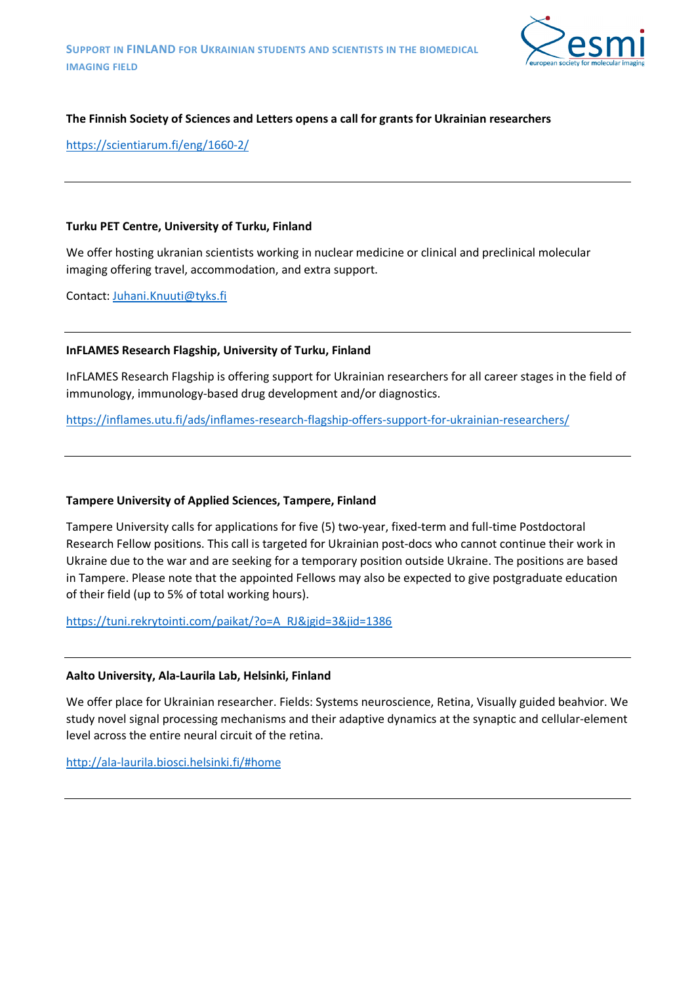

# **The Finnish Society of Sciences and Letters opens a call for grants for Ukrainian researchers**

<https://scientiarum.fi/eng/1660-2/>

#### **Turku PET Centre, University of Turku, Finland**

We offer hosting ukranian scientists working in nuclear medicine or clinical and preclinical molecular imaging offering travel, accommodation, and extra support.

Contact: [Juhani.Knuuti@tyks.fi](mailto:Juhani.Knuuti@tyks.fi)

## **InFLAMES Research Flagship, University of Turku, Finland**

InFLAMES Research Flagship is offering support for Ukrainian researchers for all career stages in the field of immunology, immunology-based drug development and/or diagnostics.

<https://inflames.utu.fi/ads/inflames-research-flagship-offers-support-for-ukrainian-researchers/>

## **Tampere University of Applied Sciences, Tampere, Finland**

Tampere University calls for applications for five (5) two-year, fixed-term and full-time Postdoctoral Research Fellow positions. This call is targeted for Ukrainian post-docs who cannot continue their work in Ukraine due to the war and are seeking for a temporary position outside Ukraine. The positions are based in Tampere. Please note that the appointed Fellows may also be expected to give postgraduate education of their field (up to 5% of total working hours).

[https://tuni.rekrytointi.com/paikat/?o=A\\_RJ&jgid=3&jid=1386](https://tuni.rekrytointi.com/paikat/?o=A_RJ&jgid=3&jid=1386)

#### **Aalto University, Ala-Laurila Lab, Helsinki, Finland**

We offer place for Ukrainian researcher. Fields: Systems neuroscience, Retina, Visually guided beahvior. We study novel signal processing mechanisms and their adaptive dynamics at the synaptic and cellular-element level across the entire neural circuit of the retina.

<http://ala-laurila.biosci.helsinki.fi/#home>